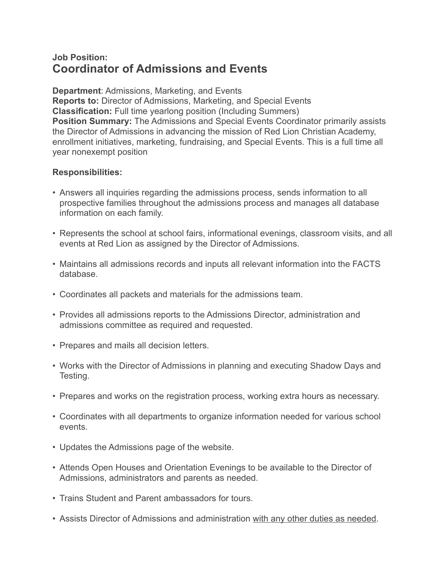## **Job Position: Coordinator of Admissions and Events**

**Department**: Admissions, Marketing, and Events **Reports to:** Director of Admissions, Marketing, and Special Events **Classification:** Full time yearlong position (Including Summers) **Position Summary:** The Admissions and Special Events Coordinator primarily assists the Director of Admissions in advancing the mission of Red Lion Christian Academy, enrollment initiatives, marketing, fundraising, and Special Events. This is a full time all year nonexempt position

## **Responsibilities:**

- Answers all inquiries regarding the admissions process, sends information to all prospective families throughout the admissions process and manages all database information on each family.
- Represents the school at school fairs, informational evenings, classroom visits, and all events at Red Lion as assigned by the Director of Admissions.
- Maintains all admissions records and inputs all relevant information into the FACTS database.
- Coordinates all packets and materials for the admissions team.
- Provides all admissions reports to the Admissions Director, administration and admissions committee as required and requested.
- Prepares and mails all decision letters.
- Works with the Director of Admissions in planning and executing Shadow Days and Testing.
- Prepares and works on the registration process, working extra hours as necessary.
- Coordinates with all departments to organize information needed for various school events.
- Updates the Admissions page of the website.
- Attends Open Houses and Orientation Evenings to be available to the Director of Admissions, administrators and parents as needed.
- Trains Student and Parent ambassadors for tours.
- Assists Director of Admissions and administration with any other duties as needed.